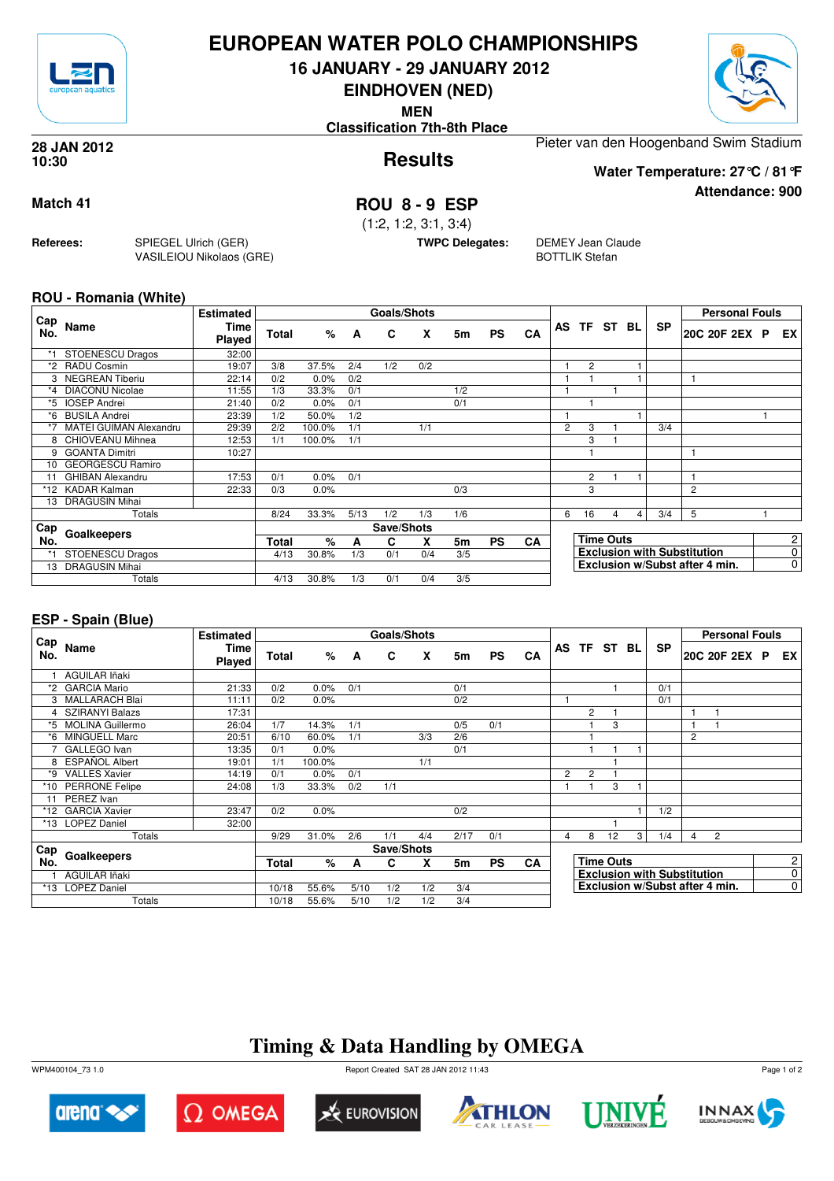

## **EUROPEAN WATER POLO CHAMPIONSHIPS**

**16 JANUARY - 29 JANUARY 2012**

**EINDHOVEN (NED)**

**MEN**

**Classification 7th-8th Place**



**Attendance: 900**

**Results 28 JAN 2012 10:30**

Pieter van den Hoogenband Swim Stadium

**Water Temperature: 27°C / 81°F**

### **Match 41 ROU 8 - 9 ESP**

(1:2, 1:2, 3:1, 3:4)

**TWPC Delegates:** DEMEY Jean Claude BOTTLIK Stefan

### **ROU - Romania (White)**

**Referees:** SPIEGEL Ulrich (GER)

VASILEIOU Nikolaos (GRE)

| Cap     |                         | <b>Estimated</b> |              |        |      | <b>Goals/Shots</b> |     |                |           |           |                |                |                  |   |           | <b>Personal Fouls</b>              |                |
|---------|-------------------------|------------------|--------------|--------|------|--------------------|-----|----------------|-----------|-----------|----------------|----------------|------------------|---|-----------|------------------------------------|----------------|
| No.     | Name                    | Time<br>Played   | <b>Total</b> | %      | A    | C                  | X   | 5m             | <b>PS</b> | CA        | AS             | TF ST BL       |                  |   | <b>SP</b> | 20C 20F 2EX P                      | EX             |
| *1      | <b>STOENESCU Dragos</b> | 32:00            |              |        |      |                    |     |                |           |           |                |                |                  |   |           |                                    |                |
| *2      | <b>RADU Cosmin</b>      | 19:07            | 3/8          | 37.5%  | 2/4  | 1/2                | 0/2 |                |           |           |                | $\overline{c}$ |                  |   |           |                                    |                |
|         | <b>NEGREAN Tiberiu</b>  | 22:14            | 0/2          | 0.0%   | 0/2  |                    |     |                |           |           |                |                |                  |   |           |                                    |                |
| $*_{4}$ | <b>DIACONU Nicolae</b>  | 11:55            | 1/3          | 33.3%  | 0/1  |                    |     | 1/2            |           |           |                |                |                  |   |           |                                    |                |
| *5      | <b>IOSEP Andrei</b>     | 21:40            | 0/2          | 0.0%   | 0/1  |                    |     | 0/1            |           |           |                |                |                  |   |           |                                    |                |
| *6      | <b>BUSILA Andrei</b>    | 23:39            | 1/2          | 50.0%  | 1/2  |                    |     |                |           |           |                |                |                  |   |           |                                    |                |
|         | MATEI GUIMAN Alexandru  | 29:39            | 2/2          | 100.0% | 1/1  |                    | 1/1 |                |           |           | $\overline{2}$ | 3              |                  |   | 3/4       |                                    |                |
| 8       | CHIOVEANU Mihnea        | 12:53            | 1/1          | 100.0% | 1/1  |                    |     |                |           |           |                | 3              |                  |   |           |                                    |                |
| 9       | <b>GOANTA Dimitri</b>   | 10:27            |              |        |      |                    |     |                |           |           |                |                |                  |   |           |                                    |                |
| 10      | <b>GEORGESCU Ramiro</b> |                  |              |        |      |                    |     |                |           |           |                |                |                  |   |           |                                    |                |
| 11      | <b>GHIBAN Alexandru</b> | 17:53            | 0/1          | 0.0%   | 0/1  |                    |     |                |           |           |                | 2              |                  |   |           |                                    |                |
|         | *12 KADAR Kalman        | 22:33            | 0/3          | 0.0%   |      |                    |     | 0/3            |           |           |                | 3              |                  |   |           | 2                                  |                |
| 13      | <b>DRAGUSIN Mihai</b>   |                  |              |        |      |                    |     |                |           |           |                |                |                  |   |           |                                    |                |
|         | Totals                  |                  | 8/24         | 33.3%  | 5/13 | 1/2                | 1/3 | 1/6            |           |           | 6              | 16             | 4                | 4 | 3/4       | 5                                  |                |
| Cap     | Goalkeepers             |                  |              |        |      | Save/Shots         |     |                |           |           |                |                |                  |   |           |                                    |                |
| No.     |                         |                  | <b>Total</b> | %      | A    | С                  | X   | 5 <sub>m</sub> | <b>PS</b> | <b>CA</b> |                |                | <b>Time Outs</b> |   |           |                                    | $\overline{c}$ |
|         | <b>STOENESCU Dragos</b> |                  | 4/13         | 30.8%  | 1/3  | 0/1                | 0/4 | 3/5            |           |           |                |                |                  |   |           | <b>Exclusion with Substitution</b> | 0              |
| 13      | <b>DRAGUSIN Mihai</b>   |                  |              |        |      |                    |     |                |           |           |                |                |                  |   |           | Exclusion w/Subst after 4 min.     | $\overline{0}$ |
|         | Totals                  |                  | 4/13         | 30.8%  | 1/3  | 0/1                | 0/4 | 3/5            |           |           |                |                |                  |   |           |                                    |                |

### **ESP - Spain (Blue)**

|            |                         | <b>Estimated</b>      |       |        |      | Goals/Shots |     |      |           |           |                |                |                  |   |                                    |                | <b>Personal Fouls</b>          |  |                |
|------------|-------------------------|-----------------------|-------|--------|------|-------------|-----|------|-----------|-----------|----------------|----------------|------------------|---|------------------------------------|----------------|--------------------------------|--|----------------|
| Cap<br>No. | Name                    | <b>Time</b><br>Played | Total | %      | A    | C           | X   | 5m   | <b>PS</b> | CA        |                |                | AS TF ST BL      |   | <b>SP</b>                          |                | 20C 20F 2EX P                  |  | EX I           |
|            | AGUILAR Iñaki           |                       |       |        |      |             |     |      |           |           |                |                |                  |   |                                    |                |                                |  |                |
| *2         | <b>GARCIA Mario</b>     | 21:33                 | 0/2   | 0.0%   | 0/1  |             |     | 0/1  |           |           |                |                |                  |   | 0/1                                |                |                                |  |                |
|            | 3 MALLARACH Blai        | 11:11                 | 0/2   | 0.0%   |      |             |     | 0/2  |           |           |                |                |                  |   | 0/1                                |                |                                |  |                |
|            | <b>SZIRANYI Balazs</b>  | 17:31                 |       |        |      |             |     |      |           |           |                | $\overline{2}$ |                  |   |                                    |                |                                |  |                |
| *5         | <b>MOLINA Guillermo</b> | 26:04                 | 1/7   | 14.3%  | 1/1  |             |     | 0/5  | 0/1       |           |                |                | 3                |   |                                    |                |                                |  |                |
| *6         | <b>MINGUELL Marc</b>    | 20:51                 | 6/10  | 60.0%  | 1/1  |             | 3/3 | 2/6  |           |           |                |                |                  |   |                                    | 2              |                                |  |                |
|            | GALLEGO Ivan            | 13:35                 | 0/1   | 0.0%   |      |             |     | 0/1  |           |           |                |                |                  |   |                                    |                |                                |  |                |
| 8          | <b>ESPAÑOL Albert</b>   | 19:01                 | 1/1   | 100.0% |      |             | 1/1 |      |           |           |                |                |                  |   |                                    |                |                                |  |                |
| *9         | <b>VALLES Xavier</b>    | 14:19                 | 0/1   | 0.0%   | 0/1  |             |     |      |           |           | $\overline{2}$ | $\overline{2}$ |                  |   |                                    |                |                                |  |                |
|            | *10 PERRONE Felipe      | 24:08                 | 1/3   | 33.3%  | 0/2  | 1/1         |     |      |           |           |                |                | 3                |   |                                    |                |                                |  |                |
| 11         | PEREZ Ivan              |                       |       |        |      |             |     |      |           |           |                |                |                  |   |                                    |                |                                |  |                |
|            | *12 GARCIA Xavier       | 23:47                 | 0/2   | 0.0%   |      |             |     | 0/2  |           |           |                |                |                  |   | 1/2                                |                |                                |  |                |
| *13        | <b>LOPEZ Daniel</b>     | 32:00                 |       |        |      |             |     |      |           |           |                |                |                  |   |                                    |                |                                |  |                |
|            | Totals                  |                       | 9/29  | 31.0%  | 2/6  | 1/1         | 4/4 | 2/17 | 0/1       |           | 4              | 8              | 12               | 3 | 1/4                                | $\overline{4}$ | $\overline{2}$                 |  |                |
| Cap        |                         |                       |       |        |      | Save/Shots  |     |      |           |           |                |                |                  |   |                                    |                |                                |  |                |
| No.        | Goalkeepers             |                       | Total | %      | A    | C           | X   | 5m   | <b>PS</b> | <b>CA</b> |                |                | <b>Time Outs</b> |   |                                    |                |                                |  | 2 <sub>1</sub> |
|            | AGUILAR Iñaki           |                       |       |        |      |             |     |      |           |           |                |                |                  |   | <b>Exclusion with Substitution</b> |                |                                |  | $\overline{0}$ |
|            | *13 LOPEZ Daniel        |                       | 10/18 | 55.6%  | 5/10 | 1/2         | 1/2 | 3/4  |           |           |                |                |                  |   |                                    |                | Exclusion w/Subst after 4 min. |  | $\overline{0}$ |
|            | Totals                  |                       | 10/18 | 55.6%  | 5/10 | 1/2         | 1/2 | 3/4  |           |           |                |                |                  |   |                                    |                |                                |  |                |

# **Timing & Data Handling by OMEGA**

WPM400104\_73 1.0 Report Created SAT 28 JAN 2012 11:43













Page 1 of 2